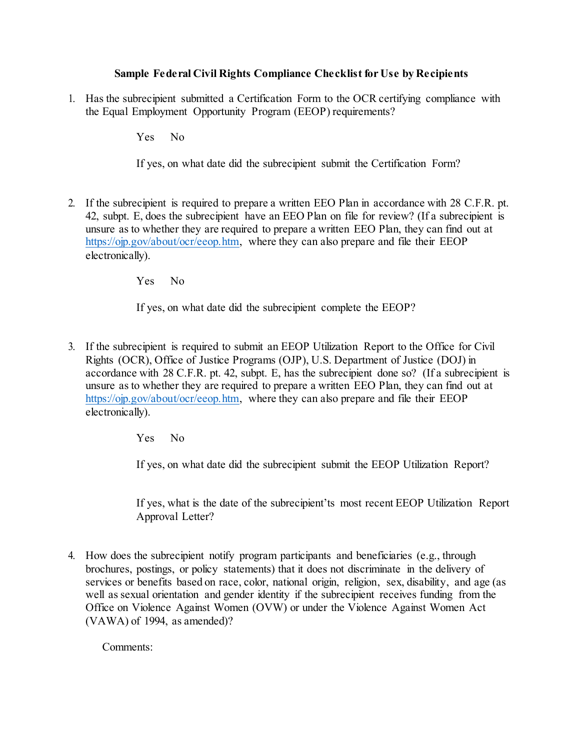## **Sample Federal Civil Rights Compliance Checklist for Use by Recipients**

1. Has the subrecipient submitted a Certification Form to the OCR certifying compliance with the Equal Employment Opportunity Program (EEOP) requirements?

Yes No

If yes, on what date did the subrecipient submit the Certification Form?

2. If the subrecipient is required to prepare a written EEO Plan in accordance with 28 C.F.R. pt. 42, subpt. E, does the subrecipient have an EEO Plan on file for review? (If a subrecipient is unsure as to whether they are required to prepare a written EEO Plan, they can find out at [https://ojp.gov/about/ocr/eeop.htm,](https://ojp.gov/about/ocr/eeop.htm) where they can also prepare and file their EEOP electronically).

Yes No

If yes, on what date did the subrecipient complete the EEOP?

3. If the subrecipient is required to submit an EEOP Utilization Report to the Office for Civil Rights (OCR), Office of Justice Programs (OJP), U.S. Department of Justice (DOJ) in accordance with 28 C.F.R. pt. 42, subpt. E, has the subrecipient done so? (If a subrecipient is unsure as to whether they are required to prepare a written EEO Plan, they can find out at [https://ojp.gov/about/ocr/eeop.htm,](https://ojp.gov/about/ocr/eeop.htm) where they can also prepare and file their EEOP electronically).

Yes No

If yes, on what date did the subrecipient submit the EEOP Utilization Report?

If yes, what is the date of the subrecipient'ts most recent EEOP Utilization Report Approval Letter?

4. How does the subrecipient notify program participants and beneficiaries (e.g., through brochures, postings, or policy statements) that it does not discriminate in the delivery of services or benefits based on race, color, national origin, religion, sex, disability, and age (as well as sexual orientation and gender identity if the subrecipient receives funding from the Office on Violence Against Women (OVW) or under the Violence Against Women Act (VAWA) of 1994, as amended)?

Comments: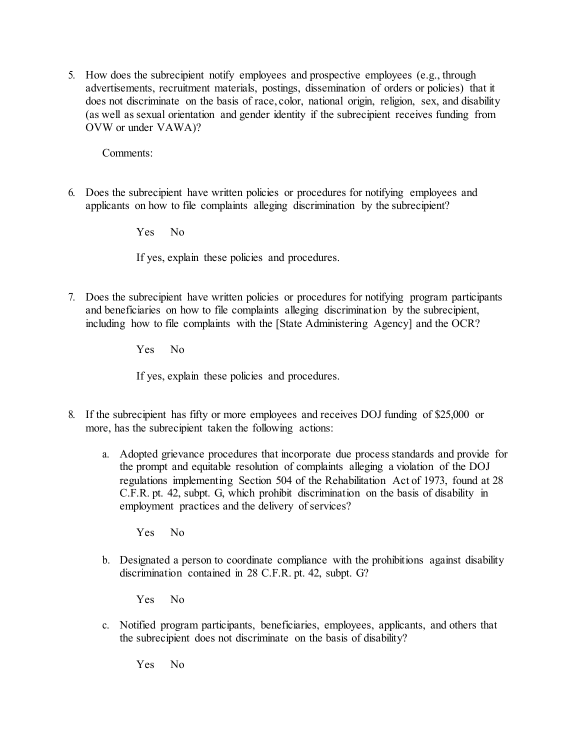5. How does the subrecipient notify employees and prospective employees (e.g., through advertisements, recruitment materials, postings, dissemination of orders or policies) that it does not discriminate on the basis of race, color, national origin, religion, sex, and disability (as well as sexual orientation and gender identity if the subrecipient receives funding from OVW or under VAWA)?

Comments:

6. Does the subrecipient have written policies or procedures for notifying employees and applicants on how to file complaints alleging discrimination by the subrecipient?

Yes No

If yes, explain these policies and procedures.

7. Does the subrecipient have written policies or procedures for notifying program participants and beneficiaries on how to file complaints alleging discrimination by the subrecipient, including how to file complaints with the [State Administering Agency] and the OCR?

Yes No

If yes, explain these policies and procedures.

- 8. If the subrecipient has fifty or more employees and receives DOJ funding of \$25,000 or more, has the subrecipient taken the following actions:
	- a. Adopted grievance procedures that incorporate due process standards and provide for the prompt and equitable resolution of complaints alleging a violation of the DOJ regulations implementing Section 504 of the Rehabilitation Act of 1973, found at 28 C.F.R. pt. 42, subpt. G, which prohibit discrimination on the basis of disability in employment practices and the delivery of services?

Yes No

b. Designated a person to coordinate compliance with the prohibitions against disability discrimination contained in 28 C.F.R. pt. 42, subpt. G?

Yes No

c. Notified program participants, beneficiaries, employees, applicants, and others that the subrecipient does not discriminate on the basis of disability?

Yes No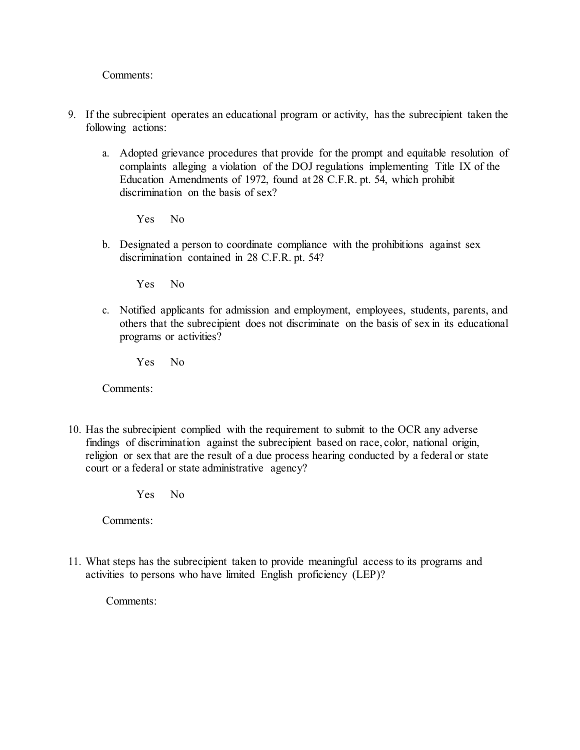Comments:

- 9. If the subrecipient operates an educational program or activity, has the subrecipient taken the following actions:
	- a. Adopted grievance procedures that provide for the prompt and equitable resolution of complaints alleging a violation of the DOJ regulations implementing Title IX of the Education Amendments of 1972, found at 28 C.F.R. pt. 54, which prohibit discrimination on the basis of sex?

Yes No

b. Designated a person to coordinate compliance with the prohibitions against sex discrimination contained in 28 C.F.R. pt. 54?

Yes No

c. Notified applicants for admission and employment, employees, students, parents, and others that the subrecipient does not discriminate on the basis of sex in its educational programs or activities?

Yes No

Comments:

10. Has the subrecipient complied with the requirement to submit to the OCR any adverse findings of discrimination against the subrecipient based on race, color, national origin, religion or sex that are the result of a due process hearing conducted by a federal or state court or a federal or state administrative agency?

Yes No

Comments:

11. What steps has the subrecipient taken to provide meaningful access to its programs and activities to persons who have limited English proficiency (LEP)?

Comments: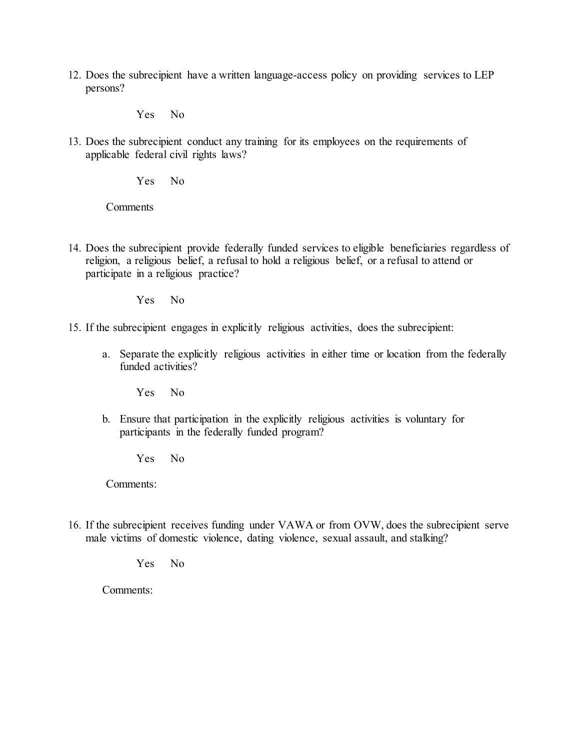12. Does the subrecipient have a written language-access policy on providing services to LEP persons?

Yes No

13. Does the subrecipient conduct any training for its employees on the requirements of applicable federal civil rights laws?

Yes No

**Comments** 

14. Does the subrecipient provide federally funded services to eligible beneficiaries regardless of religion, a religious belief, a refusal to hold a religious belief, or a refusal to attend or participate in a religious practice?

Yes No

- 15. If the subrecipient engages in explicitly religious activities, does the subrecipient:
	- a. Separate the explicitly religious activities in either time or location from the federally funded activities?

Yes No

b. Ensure that participation in the explicitly religious activities is voluntary for participants in the federally funded program?

Yes No

Comments:

16. If the subrecipient receives funding under VAWA or from OVW, does the subrecipient serve male victims of domestic violence, dating violence, sexual assault, and stalking?

Yes No

Comments: